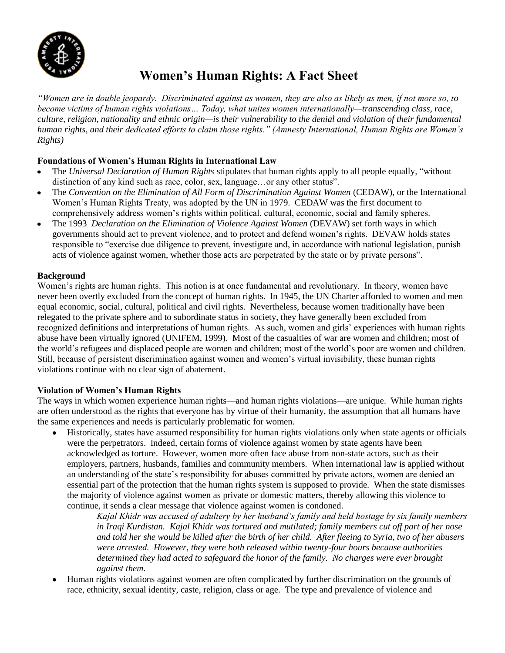

# **Women's Human Rights: A Fact Sheet**

*"Women are in double jeopardy. Discriminated against as women, they are also as likely as men, if not more so, to become victims of human rights violations… Today, what unites women internationally—transcending class, race, culture, religion, nationality and ethnic origin—is their vulnerability to the denial and violation of their fundamental human rights, and their dedicated efforts to claim those rights." (Amnesty International, Human Rights are Women's Rights)*

## **Foundations of Women's Human Rights in International Law**

- The *Universal Declaration of Human Rights* stipulates that human rights apply to all people equally, "without  $\bullet$ distinction of any kind such as race, color, sex, language…or any other status".
- The *Convention on the Elimination of All Form of Discrimination Against Women* (CEDAW), or the International  $\bullet$ Women's Human Rights Treaty, was adopted by the UN in 1979. CEDAW was the first document to comprehensively address women's rights within political, cultural, economic, social and family spheres.
- The 1993 *Declaration on the Elimination of Violence Against Women* (DEVAW) set forth ways in which  $\bullet$ governments should act to prevent violence, and to protect and defend women's rights. DEVAW holds states responsible to "exercise due diligence to prevent, investigate and, in accordance with national legislation, punish acts of violence against women, whether those acts are perpetrated by the state or by private persons".

#### **Background**

Women's rights are human rights. This notion is at once fundamental and revolutionary. In theory, women have never been overtly excluded from the concept of human rights. In 1945, the UN Charter afforded to women and men equal economic, social, cultural, political and civil rights. Nevertheless, because women traditionally have been relegated to the private sphere and to subordinate status in society, they have generally been excluded from recognized definitions and interpretations of human rights. As such, women and girls' experiences with human rights abuse have been virtually ignored (UNIFEM, 1999). Most of the casualties of war are women and children; most of the world's refugees and displaced people are women and children; most of the world's poor are women and children. Still, because of persistent discrimination against women and women's virtual invisibility, these human rights violations continue with no clear sign of abatement.

## **Violation of Women's Human Rights**

The ways in which women experience human rights—and human rights violations—are unique. While human rights are often understood as the rights that everyone has by virtue of their humanity, the assumption that all humans have the same experiences and needs is particularly problematic for women.

Historically, states have assumed responsibility for human rights violations only when state agents or officials  $\bullet$ were the perpetrators. Indeed, certain forms of violence against women by state agents have been acknowledged as torture. However, women more often face abuse from non-state actors, such as their employers, partners, husbands, families and community members. When international law is applied without an understanding of the state's responsibility for abuses committed by private actors, women are denied an essential part of the protection that the human rights system is supposed to provide. When the state dismisses the majority of violence against women as private or domestic matters, thereby allowing this violence to continue, it sends a clear message that violence against women is condoned.

> *Kajal Khidr was accused of adultery by her husband's family and held hostage by six family members in Iraqi Kurdistan. Kajal Khidr was tortured and mutilated; family members cut off part of her nose and told her she would be killed after the birth of her child. After fleeing to Syria, two of her abusers were arrested. However, they were both released within twenty-four hours because authorities determined they had acted to safeguard the honor of the family. No charges were ever brought against them.*

Human rights violations against women are often complicated by further discrimination on the grounds of race, ethnicity, sexual identity, caste, religion, class or age. The type and prevalence of violence and